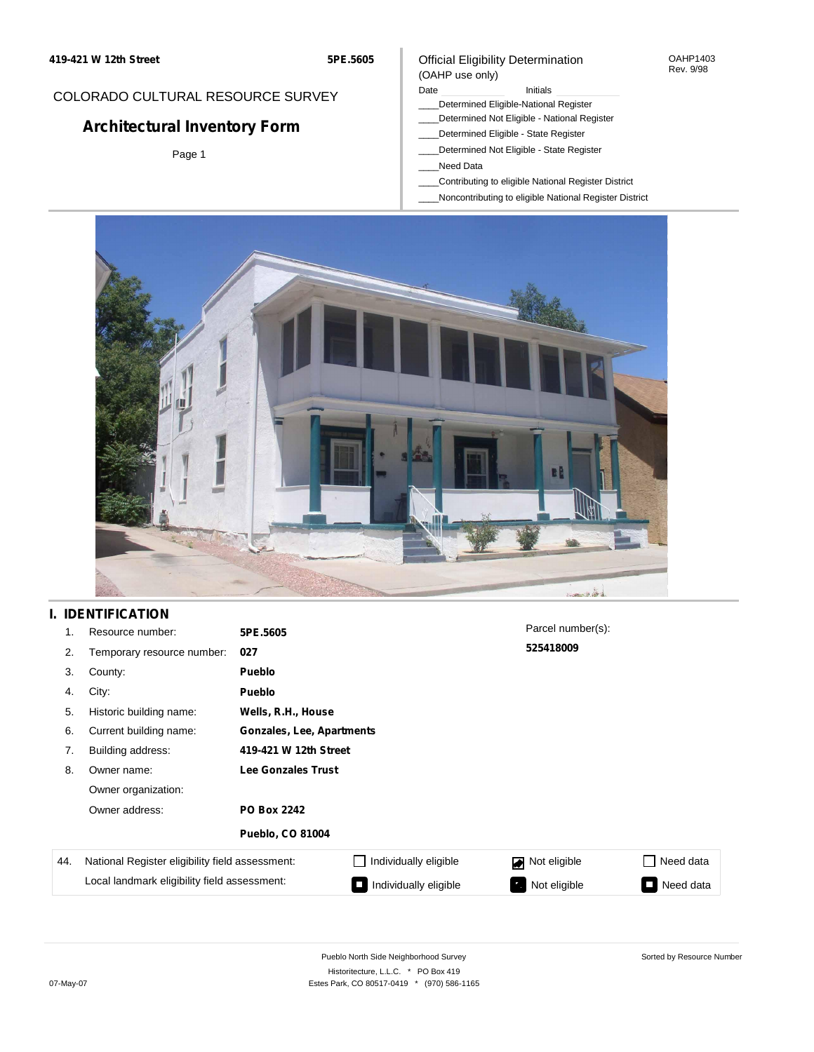**5PE.5605**

## COLORADO CULTURAL RESOURCE SURVEY

# **Architectural Inventory Form**

Page 1

### Official Eligibility Determination (OAHP use only)

Date **Initials** Initials

- \_\_\_\_Determined Eligible-National Register
- \_\_\_\_Determined Not Eligible National Register
- \_\_\_\_Determined Eligible State Register
- \_\_\_\_Determined Not Eligible State Register
- \_\_\_\_Need Data
- \_\_\_\_Contributing to eligible National Register District
- \_\_\_\_Noncontributing to eligible National Register District

OAHP1403 Rev. 9/98



## **I. IDENTIFICATION**

| 1.  | Resource number:                                | 5PE.5605                  |                           | Parcel number(s): |           |  |  |  |
|-----|-------------------------------------------------|---------------------------|---------------------------|-------------------|-----------|--|--|--|
| 2.  | Temporary resource number:                      | 027                       |                           | 525418009         |           |  |  |  |
| 3.  | County:                                         | <b>Pueblo</b>             |                           |                   |           |  |  |  |
| 4.  | City:                                           | <b>Pueblo</b>             |                           |                   |           |  |  |  |
| 5.  | Historic building name:                         | Wells, R.H., House        |                           |                   |           |  |  |  |
| 6.  | Current building name:                          |                           | Gonzales, Lee, Apartments |                   |           |  |  |  |
| 7.  | Building address:                               | 419-421 W 12th Street     |                           |                   |           |  |  |  |
| 8.  | Owner name:                                     | <b>Lee Gonzales Trust</b> |                           |                   |           |  |  |  |
|     | Owner organization:                             |                           |                           |                   |           |  |  |  |
|     | Owner address:                                  | <b>PO Box 2242</b>        |                           |                   |           |  |  |  |
|     |                                                 | <b>Pueblo, CO 81004</b>   |                           |                   |           |  |  |  |
| 44. | National Register eligibility field assessment: |                           | Individually eligible     | Not eligible<br>◪ | Need data |  |  |  |
|     | Local landmark eligibility field assessment:    |                           | Individually eligible     | Not eligible<br>ъ | Need data |  |  |  |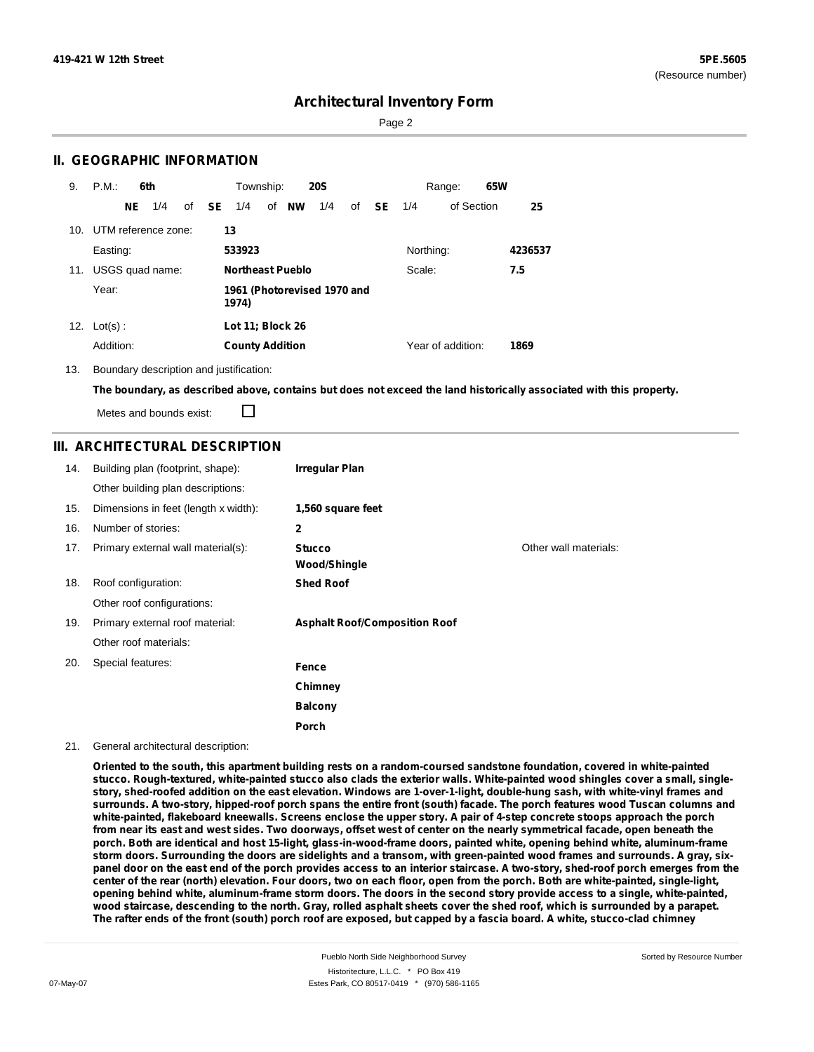Page 2

### **II. GEOGRAPHIC INFORMATION**

| 9.  | P.M.                    |     | 6th             |              | Township:              |                             | <b>20S</b> |    |      |           | Range:            | 65W |         |
|-----|-------------------------|-----|-----------------|--------------|------------------------|-----------------------------|------------|----|------|-----------|-------------------|-----|---------|
|     |                         | NE. | 1/4             | of <b>SE</b> | 1/4                    | of <b>NW</b>                | 1/4        | of | - SE | 1/4       | of Section        |     | 25      |
|     | 10. UTM reference zone: |     |                 |              | 13                     |                             |            |    |      |           |                   |     |         |
|     | Easting:                |     |                 |              | 533923                 |                             |            |    |      | Northing: |                   |     | 4236537 |
| 11. |                         |     | USGS quad name: |              |                        | <b>Northeast Pueblo</b>     |            |    |      | Scale:    |                   |     | 7.5     |
|     | Year:                   |     |                 |              | 1974)                  | 1961 (Photorevised 1970 and |            |    |      |           |                   |     |         |
| 12. | $Lot(s)$ :              |     |                 |              | Lot 11; Block 26       |                             |            |    |      |           |                   |     |         |
|     | Addition:               |     |                 |              | <b>County Addition</b> |                             |            |    |      |           | Year of addition: |     | 1869    |

13. Boundary description and justification:

The boundary, as described above, contains but does not exceed the land historically associated with this property.

П Metes and bounds exist:

#### **III. ARCHITECTURAL DESCRIPTION**

| 14. | Building plan (footprint, shape):    | <b>Irregular Plan</b>                |                       |
|-----|--------------------------------------|--------------------------------------|-----------------------|
|     | Other building plan descriptions:    |                                      |                       |
| 15. | Dimensions in feet (length x width): | 1,560 square feet                    |                       |
| 16. | Number of stories:                   | 2                                    |                       |
| 17. | Primary external wall material(s):   | <b>Stucco</b><br>Wood/Shingle        | Other wall materials: |
| 18. | Roof configuration:                  | <b>Shed Roof</b>                     |                       |
|     | Other roof configurations:           |                                      |                       |
| 19. | Primary external roof material:      | <b>Asphalt Roof/Composition Roof</b> |                       |
|     | Other roof materials:                |                                      |                       |
| 20. | Special features:                    | Fence                                |                       |
|     |                                      | Chimney                              |                       |
|     |                                      | <b>Balcony</b>                       |                       |
|     |                                      | Porch                                |                       |

#### 21. General architectural description:

Oriented to the south, this apartment building rests on a random-coursed sandstone foundation, covered in white-painted stucco. Rough-textured, white-painted stucco also clads the exterior walls. White-painted wood shingles cover a small, singlestory, shed-roofed addition on the east elevation. Windows are 1-over-1-light, double-hung sash, with white-vinyl frames and surrounds. A two-story, hipped-roof porch spans the entire front (south) facade. The porch features wood Tuscan columns and white-painted, flakeboard kneewalls. Screens enclose the upper story. A pair of 4-step concrete stoops approach the porch from near its east and west sides. Two doorways, offset west of center on the nearly symmetrical facade, open beneath the porch. Both are identical and host 15-light, glass-in-wood-frame doors, painted white, opening behind white, aluminum-frame storm doors. Surrounding the doors are sidelights and a transom, with green-painted wood frames and surrounds. A gray, sixpanel door on the east end of the porch provides access to an interior staircase. A two-story, shed-roof porch emerges from the center of the rear (north) elevation. Four doors, two on each floor, open from the porch. Both are white-painted, single-light, opening behind white, aluminum-frame storm doors. The doors in the second story provide access to a single, white-painted, wood staircase, descending to the north. Gray, rolled asphalt sheets cover the shed roof, which is surrounded by a parapet. The rafter ends of the front (south) porch roof are exposed, but capped by a fascia board. A white, stucco-clad chimney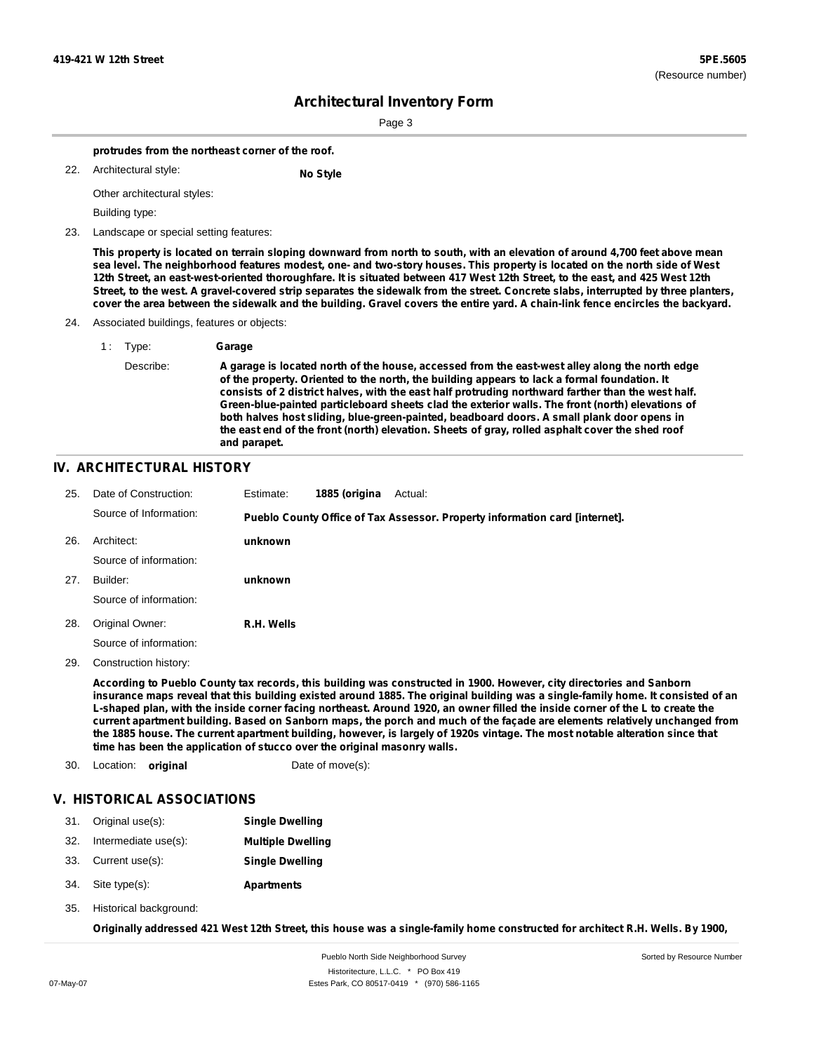Page 3

**protrudes from the northeast corner of the roof.**

Architectural style: 22. **No Style**

Other architectural styles:

Building type:

23. Landscape or special setting features:

This property is located on terrain sloping downward from north to south, with an elevation of around 4,700 feet above mean sea level. The neighborhood features modest, one- and two-story houses. This property is located on the north side of West 12th Street, an east-west-oriented thoroughfare. It is situated between 417 West 12th Street, to the east, and 425 West 12th Street, to the west. A gravel-covered strip separates the sidewalk from the street. Concrete slabs, interrupted by three planters, cover the area between the sidewalk and the building. Gravel covers the entire yard. A chain-link fence encircles the backyard.

24. Associated buildings, features or objects:

| 1: Type:  | Garage                                                                                                                                                                                                                                                                                                                                                                                                                                                                                                                                                                                                                    |
|-----------|---------------------------------------------------------------------------------------------------------------------------------------------------------------------------------------------------------------------------------------------------------------------------------------------------------------------------------------------------------------------------------------------------------------------------------------------------------------------------------------------------------------------------------------------------------------------------------------------------------------------------|
| Describe: | A garage is located north of the house, accessed from the east-west alley along the north edge<br>of the property. Oriented to the north, the building appears to lack a formal foundation. It<br>consists of 2 district halves, with the east half protruding northward farther than the west half.<br>Green-blue-painted particleboard sheets clad the exterior walls. The front (north) elevations of<br>both halves host sliding, blue-green-painted, beadboard doors. A small plank door opens in<br>the east end of the front (north) elevation. Sheets of gray, rolled asphalt cover the shed roof<br>and parapet. |

#### **IV. ARCHITECTURAL HISTORY**

| 25. | Date of Construction:  | Estimate:  | 1885 (origina | Actual:                                                                     |
|-----|------------------------|------------|---------------|-----------------------------------------------------------------------------|
|     | Source of Information: |            |               | Pueblo County Office of Tax Assessor. Property information card [internet]. |
| 26. | Architect:             | unknown    |               |                                                                             |
|     | Source of information: |            |               |                                                                             |
| 27. | Builder:               | unknown    |               |                                                                             |
|     | Source of information: |            |               |                                                                             |
| 28. | Original Owner:        | R.H. Wells |               |                                                                             |
|     | Source of information: |            |               |                                                                             |

29. Construction history:

According to Pueblo County tax records, this building was constructed in 1900. However, city directories and Sanborn insurance maps reveal that this building existed around 1885. The original building was a single-family home. It consisted of an L-shaped plan, with the inside corner facing northeast. Around 1920, an owner filled the inside corner of the L to create the current apartment building. Based on Sanborn maps, the porch and much of the façade are elements relatively unchanged from the 1885 house. The current apartment building, however, is largely of 1920s vintage. The most notable alteration since that **time has been the application of stucco over the original masonry walls.**

30. Location: **original** Date of move(s):

### **V. HISTORICAL ASSOCIATIONS**

|     | 31. Original use(s): | <b>Single Dwelling</b>   |
|-----|----------------------|--------------------------|
| 32. | Intermediate use(s): | <b>Multiple Dwelling</b> |
|     | 33. Current use(s):  | <b>Single Dwelling</b>   |
|     | 34. Site type(s):    | <b>Apartments</b>        |

35. Historical background:

Originally addressed 421 West 12th Street, this house was a single-family home constructed for architect R.H. Wells. By 1900,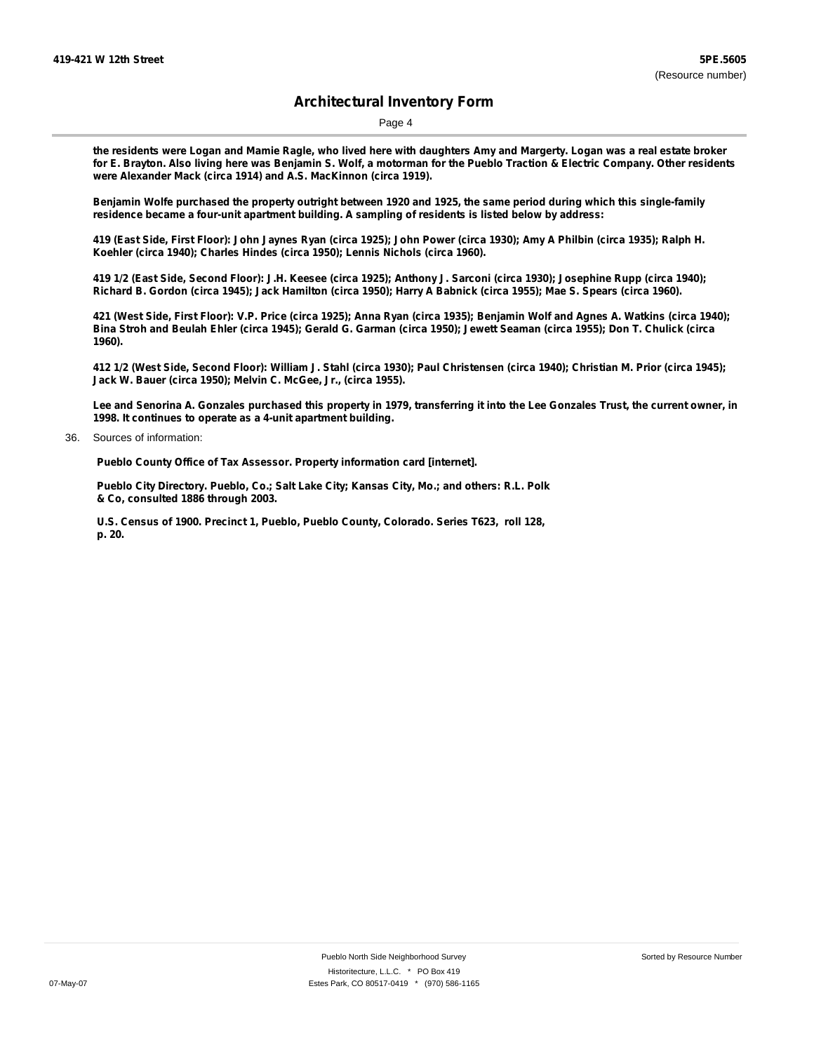Page 4

the residents were Logan and Mamie Ragle, who lived here with daughters Amy and Margerty. Logan was a real estate broker for E. Brayton. Also living here was Benjamin S. Wolf, a motorman for the Pueblo Traction & Electric Company. Other residents **were Alexander Mack (circa 1914) and A.S. MacKinnon (circa 1919).**

Benjamin Wolfe purchased the property outright between 1920 and 1925, the same period during which this single-family **residence became a four-unit apartment building. A sampling of residents is listed below by address:**

419 (East Side, First Floor): John Jaynes Ryan (circa 1925); John Power (circa 1930); Amy A Philbin (circa 1935); Ralph H. **Koehler (circa 1940); Charles Hindes (circa 1950); Lennis Nichols (circa 1960).**

419 1/2 (East Side, Second Floor): J.H. Keesee (circa 1925); Anthony J. Sarconi (circa 1930); Josephine Rupp (circa 1940); Richard B. Gordon (circa 1945); Jack Hamilton (circa 1950); Harry A Babnick (circa 1955); Mae S. Spears (circa 1960).

421 (West Side, First Floor): V.P. Price (circa 1925); Anna Ryan (circa 1935); Benjamin Wolf and Agnes A. Watkins (circa 1940); Bina Stroh and Beulah Ehler (circa 1945); Gerald G. Garman (circa 1950); Jewett Seaman (circa 1955); Don T. Chulick (circa **1960).**

412 1/2 (West Side, Second Floor): William J. Stahl (circa 1930); Paul Christensen (circa 1940); Christian M. Prior (circa 1945); **Jack W. Bauer (circa 1950); Melvin C. McGee, Jr., (circa 1955).**

Lee and Senorina A. Gonzales purchased this property in 1979, transferring it into the Lee Gonzales Trust, the current owner, in **1998. It continues to operate as a 4-unit apartment building.**

36. Sources of information:

**Pueblo County Office of Tax Assessor. Property information card [internet].**

**Pueblo City Directory. Pueblo, Co.; Salt Lake City; Kansas City, Mo.; and others: R.L. Polk & Co, consulted 1886 through 2003.**

**U.S. Census of 1900. Precinct 1, Pueblo, Pueblo County, Colorado. Series T623, roll 128, p. 20.**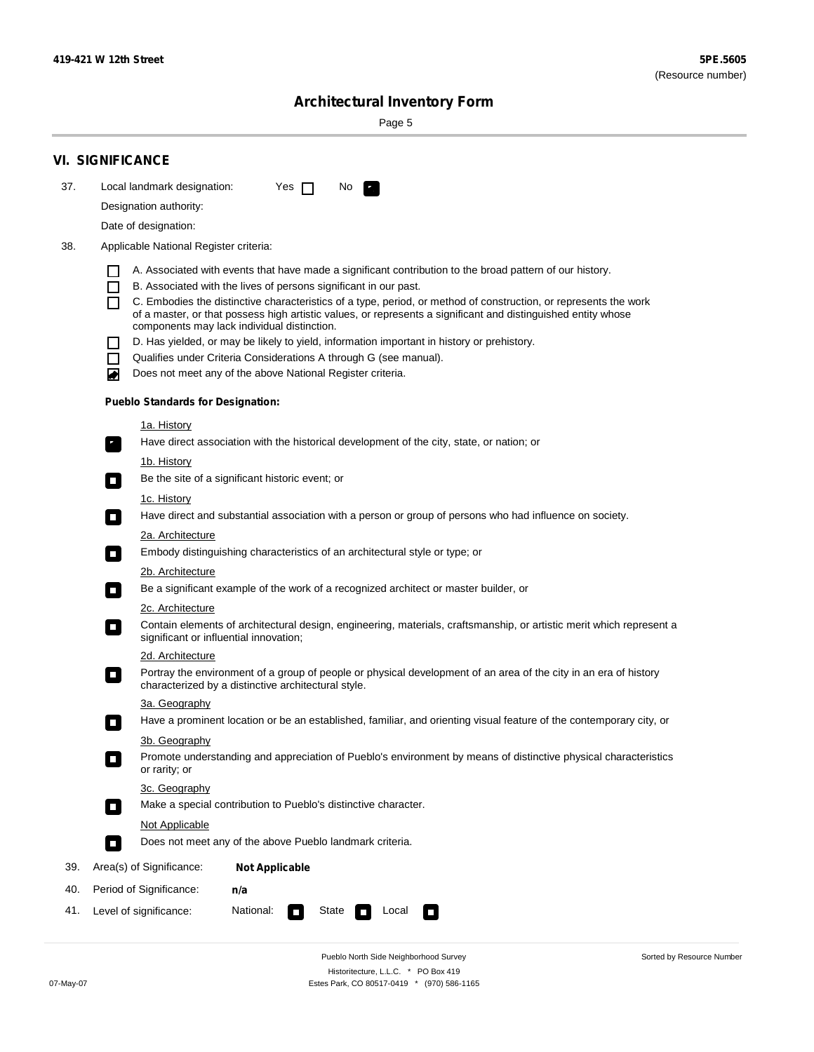Sorted by Resource Number

# **Architectural Inventory Form**

Page 5

|     | <b>VI. SIGNIFICANCE</b>                                                                                                                                                      |  |  |  |  |  |
|-----|------------------------------------------------------------------------------------------------------------------------------------------------------------------------------|--|--|--|--|--|
| 37. | Local landmark designation:<br>Yes $\Box$<br>No.<br>$\mathbf{F}_{\mathbf{a}}$                                                                                                |  |  |  |  |  |
|     | Designation authority:                                                                                                                                                       |  |  |  |  |  |
|     | Date of designation:                                                                                                                                                         |  |  |  |  |  |
| 38. | Applicable National Register criteria:                                                                                                                                       |  |  |  |  |  |
|     |                                                                                                                                                                              |  |  |  |  |  |
|     | A. Associated with events that have made a significant contribution to the broad pattern of our history.<br>B. Associated with the lives of persons significant in our past. |  |  |  |  |  |
|     | C. Embodies the distinctive characteristics of a type, period, or method of construction, or represents the work                                                             |  |  |  |  |  |
|     | of a master, or that possess high artistic values, or represents a significant and distinguished entity whose<br>components may lack individual distinction.                 |  |  |  |  |  |
|     | D. Has yielded, or may be likely to yield, information important in history or prehistory.                                                                                   |  |  |  |  |  |
|     | Qualifies under Criteria Considerations A through G (see manual).                                                                                                            |  |  |  |  |  |
|     | Does not meet any of the above National Register criteria.<br>◙                                                                                                              |  |  |  |  |  |
|     | <b>Pueblo Standards for Designation:</b>                                                                                                                                     |  |  |  |  |  |
|     | <u>1a. History</u>                                                                                                                                                           |  |  |  |  |  |
|     | Have direct association with the historical development of the city, state, or nation; or<br>$\mathcal{F}_{\perp}$                                                           |  |  |  |  |  |
|     | <u>1b. History</u>                                                                                                                                                           |  |  |  |  |  |
|     | Be the site of a significant historic event; or<br>$\mathcal{L}_{\mathcal{A}}$                                                                                               |  |  |  |  |  |
|     | 1c. History                                                                                                                                                                  |  |  |  |  |  |
|     | Have direct and substantial association with a person or group of persons who had influence on society.<br>$\sim$                                                            |  |  |  |  |  |
|     | 2a. Architecture                                                                                                                                                             |  |  |  |  |  |
|     | Embody distinguishing characteristics of an architectural style or type; or<br>$\blacksquare$                                                                                |  |  |  |  |  |
|     | 2b. Architecture                                                                                                                                                             |  |  |  |  |  |
|     | Be a significant example of the work of a recognized architect or master builder, or<br>$\sim$                                                                               |  |  |  |  |  |
|     | <b>2c. Architecture</b>                                                                                                                                                      |  |  |  |  |  |
|     | Contain elements of architectural design, engineering, materials, craftsmanship, or artistic merit which represent a<br>О<br>significant or influential innovation;          |  |  |  |  |  |
|     | 2d. Architecture                                                                                                                                                             |  |  |  |  |  |
|     | Portray the environment of a group of people or physical development of an area of the city in an era of history<br>О<br>characterized by a distinctive architectural style. |  |  |  |  |  |
|     | 3a. Geography                                                                                                                                                                |  |  |  |  |  |
|     | Have a prominent location or be an established, familiar, and orienting visual feature of the contemporary city, or                                                          |  |  |  |  |  |
|     | 3b. Geography                                                                                                                                                                |  |  |  |  |  |
|     | Promote understanding and appreciation of Pueblo's environment by means of distinctive physical characteristics<br>or rarity; or                                             |  |  |  |  |  |
|     | 3c. Geography                                                                                                                                                                |  |  |  |  |  |
|     | Make a special contribution to Pueblo's distinctive character.<br>$\mathcal{L}_{\mathcal{A}}$                                                                                |  |  |  |  |  |
|     | <b>Not Applicable</b>                                                                                                                                                        |  |  |  |  |  |
|     | Does not meet any of the above Pueblo landmark criteria.<br>$\Box$                                                                                                           |  |  |  |  |  |
| 39. | Area(s) of Significance:<br><b>Not Applicable</b>                                                                                                                            |  |  |  |  |  |
| 40. | Period of Significance:<br>n/a                                                                                                                                               |  |  |  |  |  |
| 41. | National:<br>Level of significance:<br>State<br>Local<br>$\mathcal{L}_{\mathcal{A}}$<br>П                                                                                    |  |  |  |  |  |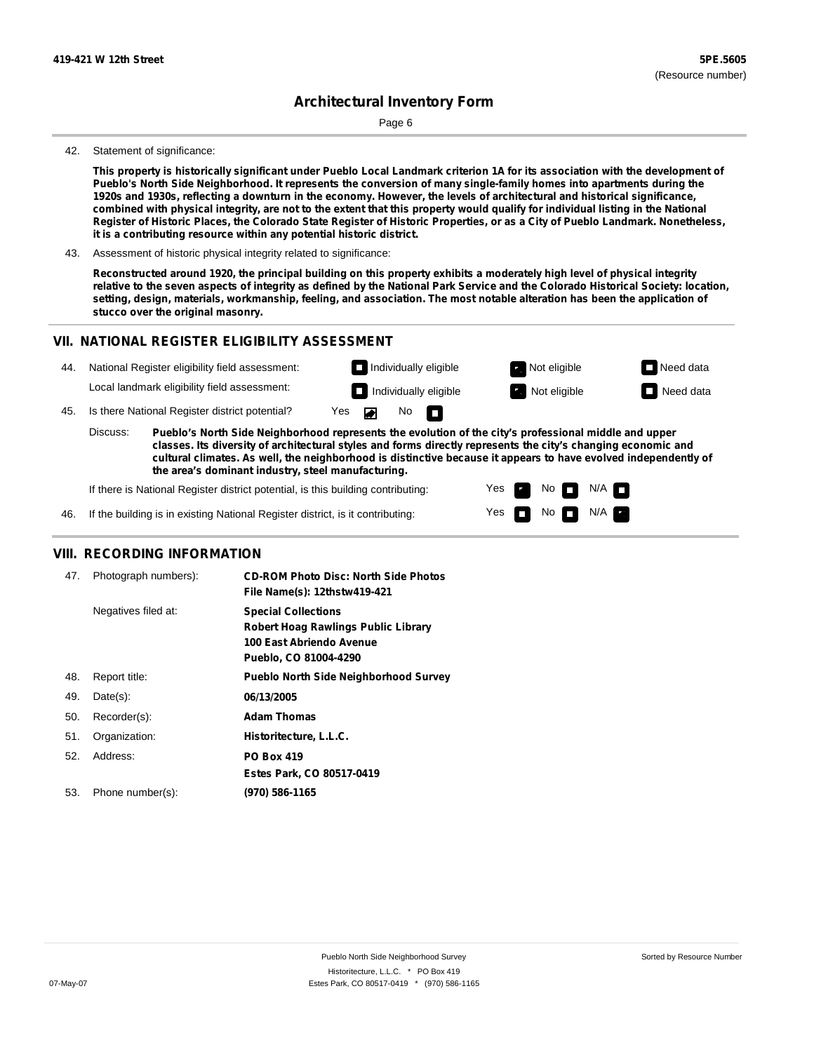# **Architectural Inventory Form**

Page 6

#### 42. Statement of significance:

This property is historically significant under Pueblo Local Landmark criterion 1A for its association with the development of Pueblo's North Side Neighborhood. It represents the conversion of many single-family homes into apartments during the 1920s and 1930s, reflecting a downturn in the economy. However, the levels of architectural and historical significance, combined with physical integrity, are not to the extent that this property would qualify for individual listing in the National Register of Historic Places, the Colorado State Register of Historic Properties, or as a City of Pueblo Landmark. Nonetheless, **it is a contributing resource within any potential historic district.**

43. Assessment of historic physical integrity related to significance:

Reconstructed around 1920, the principal building on this property exhibits a moderately high level of physical integrity relative to the seven aspects of integrity as defined by the National Park Service and the Colorado Historical Society: location, setting, design, materials, workmanship, feeling, and association. The most notable alteration has been the application of **stucco over the original masonry.**

#### **VII. NATIONAL REGISTER ELIGIBILITY ASSESSMENT**

| 44. |          | National Register eligibility field assessment:                                                                                                                                                                       | $\Box$ Individually eligible |     |                              | Not eligible | $\Box$ Need data |
|-----|----------|-----------------------------------------------------------------------------------------------------------------------------------------------------------------------------------------------------------------------|------------------------------|-----|------------------------------|--------------|------------------|
|     |          | Local landmark eligibility field assessment:                                                                                                                                                                          |                              |     | $\Box$ Individually eligible | Not eligible | $\Box$ Need data |
| 45. |          | Is there National Register district potential?                                                                                                                                                                        | Yes<br><b>PERSON</b>         | No. | n                            |              |                  |
|     | Discuss: | Pueblo's North Side Neighborhood represents the evolution of the city's professional middle and upper<br>elasses the diversity of architectural styles and forms directly represents the sity's changing economic and |                              |     |                              |              |                  |

**classes. Its diversity of architectural styles and forms directly represents the city's changing economic and cultural climates. As well, the neighborhood is distinctive because it appears to have evolved independently of the area's dominant industry, steel manufacturing.**

> Yes Yes

No

No  $\blacksquare$  N/A  $\blacksquare$ 

 $N/A$   $\Box$ 

If there is National Register district potential, is this building contributing:

46. If the building is in existing National Register district, is it contributing:

#### **VIII. RECORDING INFORMATION**

| 47. | Photograph numbers): | <b>CD-ROM Photo Disc: North Side Photos</b><br>File Name(s): 12thstw419-421                                            |
|-----|----------------------|------------------------------------------------------------------------------------------------------------------------|
|     | Negatives filed at:  | <b>Special Collections</b><br>Robert Hoag Rawlings Public Library<br>100 East Abriendo Avenue<br>Pueblo, CO 81004-4290 |
| 48. | Report title:        | <b>Pueblo North Side Neighborhood Survey</b>                                                                           |
| 49. | $Date(s)$ :          | 06/13/2005                                                                                                             |
| 50. | Recorder(s):         | <b>Adam Thomas</b>                                                                                                     |
| 51. | Organization:        | Historitecture, L.L.C.                                                                                                 |
| 52. | Address:             | <b>PO Box 419</b>                                                                                                      |
|     |                      | Estes Park, CO 80517-0419                                                                                              |
| 53. | Phone number(s):     | (970) 586-1165                                                                                                         |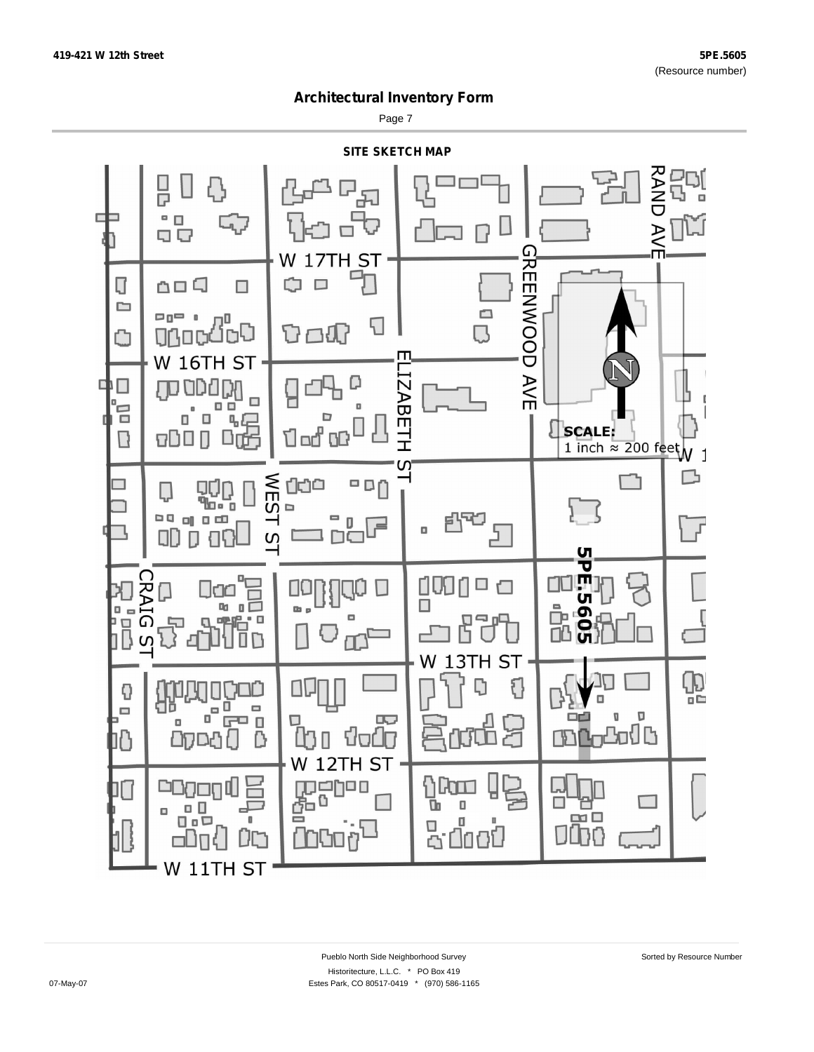Page 7